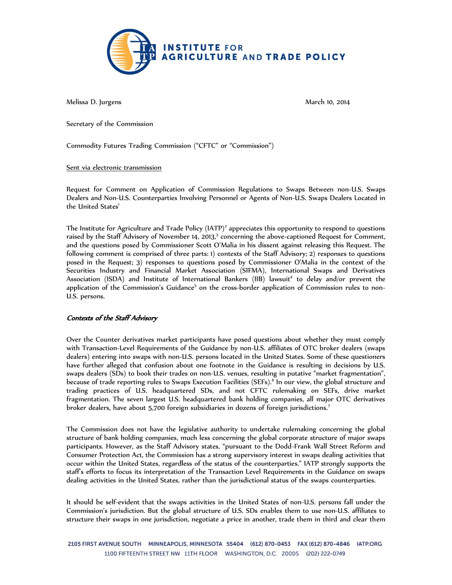

Melissa D. Jurgens March 10, 2014

Secretary of the Commission

Commodity Futures Trading Commission ("CFTC" or "Commission")

Sent via electronic transmission

Request for Comment on Application of Commission Regulations to Swaps Between non-U.S. Swaps Dealers and Non-U.S. Counterparties Involving Personnel or Agents of Non-U.S. Swaps Dealers Located in the United States<sup>1</sup>

The Institute for Agriculture and Trade Policy  $(IATP)^2$  appreciates this opportunity to respond to questions raised by the Staff Advisory of November 14, 2013,<sup>3</sup> concerning the above-captioned Request for Comment, and the questions posed by Commissioner Scott O'Malia in his dissent against releasing this Request. The following comment is comprised of three parts: 1) contexts of the Staff Advisory; 2) responses to questions posed in the Request; 3) responses to questions posed by Commissioner O'Malia in the context of the Securities Industry and Financial Market Association (SIFMA), International Swaps and Derivatives Association (ISDA) and Institute of International Bankers (IIB) lawsuit<sup>4</sup> to delay and/or prevent the application of the Commission's Guidance<sup>5</sup> on the cross-border application of Commission rules to non-U.S. persons.

## Contexts of the Staff Advisory

Over the Counter derivatives market participants have posed questions about whether they must comply with Transaction-Level Requirements of the Guidance by non-U.S. affiliates of OTC broker dealers (swaps dealers) entering into swaps with non-U.S. persons located in the United States. Some of these questioners have further alleged that confusion about one footnote in the Guidance is resulting in decisions by U.S. swaps dealers (SDs) to book their trades on non-U.S. venues, resulting in putative "market fragmentation", because of trade reporting rules to Swaps Execution Facilities (SEFs).<sup>6</sup> In our view, the global structure and trading practices of U.S. headquartered SDs, and not CFTC rulemaking on SEFs, drive market fragmentation. The seven largest U.S. headquartered bank holding companies, all major OTC derivatives broker dealers, have about 5,700 foreign subsidiaries in dozens of foreign jurisdictions.<sup>7</sup>

The Commission does not have the legislative authority to undertake rulemaking concerning the global structure of bank holding companies, much less concerning the global corporate structure of major swaps participants. However, as the Staff Advisory states, "pursuant to the Dodd-Frank Wall Street Reform and Consumer Protection Act, the Commission has a strong supervisory interest in swaps dealing activities that occur within the United States, regardless of the status of the counterparties." IATP strongly supports the staff's efforts to focus its interpretation of the Transaction Level Requirements in the Guidance on swaps dealing activities in the United States, rather than the jurisdictional status of the swaps counterparties.

It should be self-evident that the swaps activities in the United States of non-U.S. persons fall under the Commission's jurisdiction. But the global structure of U.S. SDs enables them to use non-U.S. affiliates to structure their swaps in one jurisdiction, negotiate a price in another, trade them in third and clear them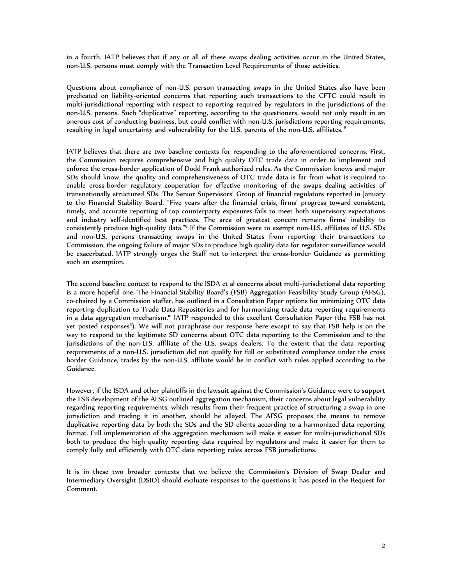in a fourth. IATP believes that if any or all of these swaps dealing activities occur in the United States, non-U.S. persons must comply with the Transaction Level Requirements of those activities.

Questions about compliance of non-U.S. person transacting swaps in the United States also have been predicated on liability-oriented concerns that reporting such transactions to the CFTC could result in multi-jurisdictional reporting with respect to reporting required by regulators in the jurisdictions of the non-U.S. persons. Such "duplicative" reporting, according to the questioners, would not only result in an onerous cost of conducting business, but could conflict with non-U.S. jurisdictions reporting requirements, resulting in legal uncertainty and vulnerability for the U.S. parents of the non-U.S. affiliates.<sup>8</sup>

IATP believes that there are two baseline contexts for responding to the aforementioned concerns. First, the Commission requires comprehensive and high quality OTC trade data in order to implement and enforce the cross-border application of Dodd Frank authorized rules. As the Commission knows and major SDs should know, the quality and comprehensiveness of OTC trade data is far from what is required to enable cross-border regulatory cooperation for effective monitoring of the swaps dealing activities of transnationally structured SDs. The Senior Supervisors' Group of financial regulators reported in January to the Financial Stability Board, "Five years after the financial crisis, firms' progress toward consistent, timely, and accurate reporting of top counterparty exposures fails to meet both supervisory expectations and industry self-identified best practices. The area of greatest concern remains firms' inability to consistently produce high-quality data."<sup>9</sup> If the Commission were to exempt non-U.S. affiliates of U.S. SDs and non-U.S. persons transacting swaps in the United States from reporting their transactions to Commission, the ongoing failure of major SDs to produce high quality data for regulator surveillance would be exacerbated. IATP strongly urges the Staff not to interpret the cross-border Guidance as permitting such an exemption.

The second baseline context to respond to the ISDA et al concerns about multi-jurisdictional data reporting is a more hopeful one. The Financial Stability Board's (FSB) Aggregation Feasibility Study Group (AFSG), co-chaired by a Commission staffer, has outlined in a Consultation Paper options for minimizing OTC data reporting duplication to Trade Data Repositories and for harmonizing trade data reporting requirements in a data aggregation mechanism.<sup>10</sup> IATP responded to this excellent Consultation Paper (the FSB has not yet posted responses"). We will not paraphrase our response here except to say that FSB help is on the way to respond to the legitimate SD concerns about OTC data reporting to the Commission and to the jurisdictions of the non-U.S. affiliate of the U.S. swaps dealers. To the extent that the data reporting requirements of a non-U.S. jurisdiction did not qualify for full or substituted compliance under the cross border Guidance, trades by the non-U.S. affiliate would be in conflict with rules applied according to the Guidance.

However, if the ISDA and other plaintiffs in the lawsuit against the Commission's Guidance were to support the FSB development of the AFSG outlined aggregation mechanism, their concerns about legal vulnerability regarding reporting requirements, which results from their frequent practice of structuring a swap in one jurisdiction and trading it in another, should be allayed. The AFSG proposes the means to remove duplicative reporting data by both the SDs and the SD clients according to a harmonized data reporting format. Full implementation of the aggregation mechanism will make it easier for multi-jurisdictional SDs both to produce the high quality reporting data required by regulators and make it easier for them to comply fully and efficiently with OTC data reporting rules across FSB jurisdictions.

It is in these two broader contexts that we believe the Commission's Division of Swap Dealer and Intermediary Oversight (DSIO) should evaluate responses to the questions it has posed in the Request for Comment.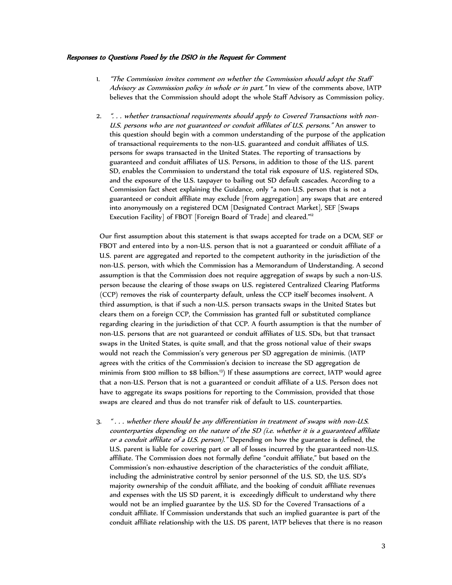## Responses to Questions Posed by the DSIO in the Request for Comment

- 1. "The Commission invites comment on whether the Commission should adopt the Staff Advisory as Commission policy in whole or in part." In view of the comments above, IATP believes that the Commission should adopt the whole Staff Advisory as Commission policy.
- 2. ". . . whether transactional requirements should apply to Covered Transactions with non-U.S. persons who are not guaranteed or conduit affiliates of U.S. persons." An answer to this question should begin with a common understanding of the purpose of the application of transactional requirements to the non-U.S. guaranteed and conduit affiliates of U.S. persons for swaps transacted in the United States. The reporting of transactions by guaranteed and conduit affiliates of U.S. Persons, in addition to those of the U.S. parent SD, enables the Commission to understand the total risk exposure of U.S. registered SDs, and the exposure of the U.S. taxpayer to bailing out SD default cascades. According to a Commission fact sheet explaining the Guidance, only "a non-U.S. person that is not a guaranteed or conduit affiliate may exclude [from aggregation] any swaps that are entered into anonymously on a registered DCM [Designated Contract Market], SEF [Swaps Execution Facility] of FBOT [Foreign Board of Trade] and cleared."<sup>12</sup>

Our first assumption about this statement is that swaps accepted for trade on a DCM, SEF or FBOT and entered into by a non-U.S. person that is not a guaranteed or conduit affiliate of a U.S. parent are aggregated and reported to the competent authority in the jurisdiction of the non-U.S. person, with which the Commission has a Memorandum of Understanding. A second assumption is that the Commission does not require aggregation of swaps by such a non-U.S. person because the clearing of those swaps on U.S. registered Centralized Clearing Platforms (CCP) removes the risk of counterparty default, unless the CCP itself becomes insolvent. A third assumption, is that if such a non-U.S. person transacts swaps in the United States but clears them on a foreign CCP, the Commission has granted full or substituted compliance regarding clearing in the jurisdiction of that CCP. A fourth assumption is that the number of non-U.S. persons that are not guaranteed or conduit affiliates of U.S. SDs, but that transact swaps in the United States, is quite small, and that the gross notional value of their swaps would not reach the Commission's very generous per SD aggregation de minimis. (IATP agrees with the critics of the Commission's decision to increase the SD aggregation de minimis from \$100 million to \$8 billion.<sup>13</sup>) If these assumptions are correct, IATP would agree that a non-U.S. Person that is not a guaranteed or conduit affiliate of a U.S. Person does not have to aggregate its swaps positions for reporting to the Commission, provided that those swaps are cleared and thus do not transfer risk of default to U.S. counterparties.

3. " . . . whether there should be any differentiation in treatment of swaps with non-U.S. counterparties depending on the nature of the SD (i.e. whether it is a guaranteed affiliate or a conduit affiliate of a U.S. person)." Depending on how the guarantee is defined, the U.S. parent is liable for covering part or all of losses incurred by the guaranteed non-U.S. affiliate. The Commission does not formally define "conduit affiliate," but based on the Commission's non-exhaustive description of the characteristics of the conduit affiliate, including the administrative control by senior personnel of the U.S. SD, the U.S. SD's majority ownership of the conduit affiliate, and the booking of conduit affiliate revenues and expenses with the US SD parent, it is exceedingly difficult to understand why there would not be an implied guarantee by the U.S. SD for the Covered Transactions of a conduit affiliate. If Commission understands that such an implied guarantee is part of the conduit affiliate relationship with the U.S. DS parent, IATP believes that there is no reason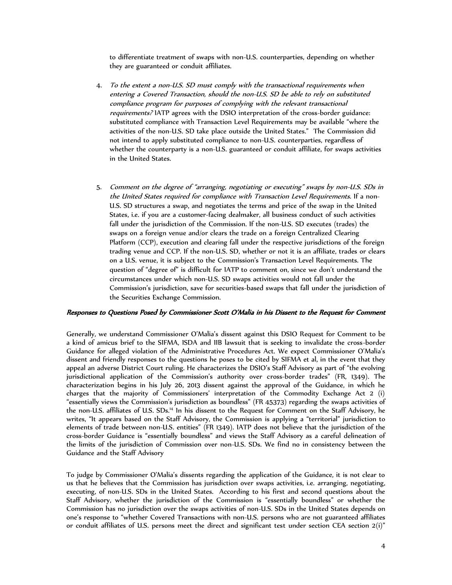to differentiate treatment of swaps with non-U.S. counterparties, depending on whether they are guaranteed or conduit affiliates.

- 4. To the extent a non-U.S. SD must comply with the transactional requirements when entering a Covered Transaction, should the non-U.S. SD be able to rely on substituted compliance program for purposes of complying with the relevant transactional requirements? IATP agrees with the DSIO interpretation of the cross-border guidance: substituted compliance with Transaction Level Requirements may be available "where the activities of the non-U.S. SD take place outside the United States." The Commission did not intend to apply substituted compliance to non-U.S. counterparties, regardless of whether the counterparty is a non-U.S. guaranteed or conduit affiliate, for swaps activities in the United States.
- 5. Comment on the degree of "arranging, negotiating or executing" swaps by non-U.S. SDs in the United States required for compliance with Transaction Level Requirements. If a non-U.S. SD structures a swap, and negotiates the terms and price of the swap in the United States, i.e. if you are a customer-facing dealmaker, all business conduct of such activities fall under the jurisdiction of the Commission. If the non-U.S. SD executes (trades) the swaps on a foreign venue and/or clears the trade on a foreign Centralized Clearing Platform (CCP), execution and clearing fall under the respective jurisdictions of the foreign trading venue and CCP. If the non-U.S. SD, whether or not it is an affiliate, trades or clears on a U.S. venue, it is subject to the Commission's Transaction Level Requirements. The question of "degree of" is difficult for IATP to comment on, since we don't understand the circumstances under which non-U.S. SD swaps activities would not fall under the Commission's jurisdiction, save for securities-based swaps that fall under the jurisdiction of the Securities Exchange Commission.

## Responses to Questions Posed by Commissioner Scott O'Malia in his Dissent to the Request for Comment

Generally, we understand Commissioner O'Malia's dissent against this DSIO Request for Comment to be a kind of amicus brief to the SIFMA, ISDA and IIB lawsuit that is seeking to invalidate the cross-border Guidance for alleged violation of the Administrative Procedures Act. We expect Commissioner O'Malia's dissent and friendly responses to the questions he poses to be cited by SIFMA et al, in the event that they appeal an adverse District Court ruling. He characterizes the DSIO's Staff Advisory as part of "the evolving jurisdictional application of the Commission's authority over cross-border trades" (FR, 1349). The characterization begins in his July 26, 2013 dissent against the approval of the Guidance, in which he charges that the majority of Commissioners' interpretation of the Commodity Exchange Act 2 (i) "essentially views the Commission's jurisdiction as boundless" (FR 45373) regarding the swaps activities of the non-U.S. affiliates of U.S. SDs.<sup>14</sup> In his dissent to the Request for Comment on the Staff Advisory, he writes, "It appears based on the Staff Advisory, the Commission is applying a "territorial" jurisdiction to elements of trade between non-U.S. entities" (FR 1349). IATP does not believe that the jurisdiction of the cross-border Guidance is "essentially boundless" and views the Staff Advisory as a careful delineation of the limits of the jurisdiction of Commission over non-U.S. SDs. We find no in consistency between the Guidance and the Staff Advisory

To judge by Commissioner O'Malia's dissents regarding the application of the Guidance, it is not clear to us that he believes that the Commission has jurisdiction over swaps activities, i.e. arranging, negotiating, executing, of non-U.S. SDs in the United States. According to his first and second questions about the Staff Advisory, whether the jurisdiction of the Commission is "essentially boundless" or whether the Commission has no jurisdiction over the swaps activities of non-U.S. SDs in the United States depends on one's response to "whether Covered Transactions with non-U.S. persons who are not guaranteed affiliates or conduit affiliates of U.S. persons meet the direct and significant test under section CEA section 2(i)"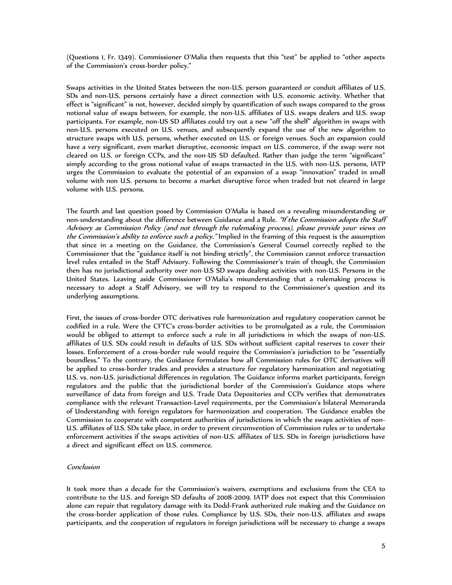(Questions 1, Fr. 1349). Commissioner O'Malia then requests that this "test" be applied to "other aspects of the Commission's cross-border policy."

Swaps activities in the United States between the non-U.S. person guaranteed or conduit affiliates of U.S. SDs and non-U.S. persons certainly have a direct connection with U.S. economic activity. Whether that effect is "significant" is not, however, decided simply by quantification of such swaps compared to the gross notional value of swaps between, for example, the non-U.S. affiliates of U.S. swaps dealers and U.S. swap participants. For example, non-US SD affiliates could try out a new "off the shelf" algorithm in swaps with non-U.S. persons executed on U.S. venues, and subsequently expand the use of the new algorithm to structure swaps with U.S. persons, whether executed on U.S. or foreign venues. Such an expansion could have a very significant, even market disruptive, economic impact on U.S. commerce, if the swap were not cleared on U.S. or foreign CCPs, and the non-US SD defaulted. Rather than judge the term "significant" simply according to the gross notional value of swaps transacted in the U.S. with non-U.S. persons, IATP urges the Commission to evaluate the potential of an expansion of a swap "innovation" traded in small volume with non U.S. persons to become a market disruptive force when traded but not cleared in large volume with U.S. persons.

The fourth and last question posed by Commission O'Malia is based on a revealing misunderstanding or non-understanding about the difference between Guidance and a Rule. "If the Commission adopts the Staff Advisory as Commission Policy (and not through the rulemaking process), please provide your views on the Commission's ability to enforce such a policy." Implied in the framing of this request is the assumption that since in a meeting on the Guidance, the Commission's General Counsel correctly replied to the Commissioner that the "guidance itself is not binding strictly", the Commission cannot enforce transaction level rules entailed in the Staff Advisory. Following the Commissioner's train of though, the Commission then has no jurisdictional authority over non-U.S SD swaps dealing activities with non-U.S. Persons in the United States. Leaving aside Commissioner O'Malia's misunderstanding that a rulemaking process is necessary to adopt a Staff Advisory, we will try to respond to the Commissioner's question and its underlying assumptions.

First, the issues of cross-border OTC derivatives rule harmonization and regulatory cooperation cannot be codified in a rule. Were the CFTC's cross-border activities to be promulgated as a rule, the Commission would be obliged to attempt to enforce such a rule in all jurisdictions in which the swaps of non-U.S. affiliates of U.S. SDs could result in defaults of U.S. SDs without sufficient capital reserves to cover their losses. Enforcement of a cross-border rule would require the Commission's jurisdiction to be "essentially boundless." To the contrary, the Guidance formulates how all Commission rules for OTC derivatives will be applied to cross-border trades and provides a structure for regulatory harmonization and negotiating U.S. vs. non-U.S. jurisdictional differences in regulation. The Guidance informs market participants, foreign regulators and the public that the jurisdictional border of the Commission's Guidance stops where surveillance of data from foreign and U.S. Trade Data Depositories and CCPs verifies that demonstrates compliance with the relevant Transaction-Level requirements, per the Commission's bilateral Memoranda of Understanding with foreign regulators for harmonization and cooperation. The Guidance enables the Commission to cooperate with competent authorities of jurisdictions in which the swaps activities of non-U.S. affiliates of U.S. SDs take place, in order to prevent circumvention of Commission rules or to undertake enforcement activities if the swaps activities of non-U.S. affiliates of U.S. SDs in foreign jurisdictions have a direct and significant effect on U.S. commerce.

## **Conclusion**

It took more than a decade for the Commission's waivers, exemptions and exclusions from the CEA to contribute to the U.S. and foreign SD defaults of 2008-2009. IATP does not expect that this Commission alone can repair that regulatory damage with its Dodd-Frank authorized rule making and the Guidance on the cross-border application of those rules. Compliance by U.S. SDs, their non-U.S. affiliates and swaps participants, and the cooperation of regulators in foreign jurisdictions will be necessary to change a swaps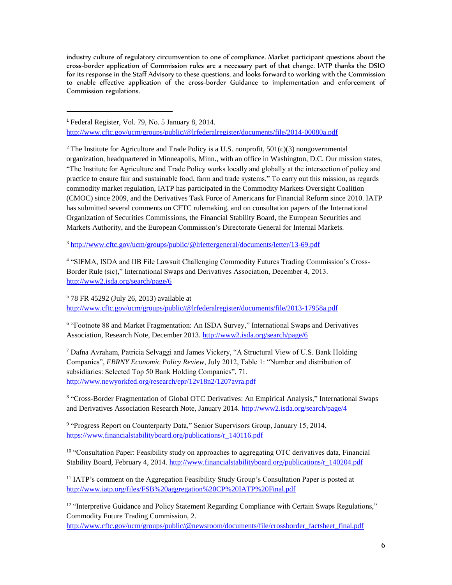industry culture of regulatory circumvention to one of compliance. Market participant questions about the cross-border application of Commission rules are a necessary part of that change. IATP thanks the DSIO for its response in the Staff Advisory to these questions, and looks forward to working with the Commission to enable effective application of the cross-border Guidance to implementation and enforcement of Commission regulations.

<sup>1</sup> Federal Register, Vol. 79, No. 5 January 8, 2014. <http://www.cftc.gov/ucm/groups/public/@lrfederalregister/documents/file/2014-00080a.pdf>

I

<sup>2</sup> The Institute for Agriculture and Trade Policy is a U.S. nonprofit,  $501(c)(3)$  nongovernmental organization, headquartered in Minneapolis, Minn., with an office in Washington, D.C. Our mission states, "The Institute for Agriculture and Trade Policy works locally and globally at the intersection of policy and practice to ensure fair and sustainable food, farm and trade systems." To carry out this mission, as regards commodity market regulation, IATP has participated in the Commodity Markets Oversight Coalition (CMOC) since 2009, and the Derivatives Task Force of Americans for Financial Reform since 2010. IATP has submitted several comments on CFTC rulemaking, and on consultation papers of the International Organization of Securities Commissions, the Financial Stability Board, the European Securities and Markets Authority, and the European Commission's Directorate General for Internal Markets.

<sup>3</sup> <http://www.cftc.gov/ucm/groups/public/@lrlettergeneral/documents/letter/13-69.pdf>

4 "SIFMA, ISDA and IIB File Lawsuit Challenging Commodity Futures Trading Commission's Cross-Border Rule (sic)," International Swaps and Derivatives Association, December 4, 2013. <http://www2.isda.org/search/page/6>

<sup>5</sup> 78 FR 45292 (July 26, 2013) available at <http://www.cftc.gov/ucm/groups/public/@lrfederalregister/documents/file/2013-17958a.pdf>

6 "Footnote 88 and Market Fragmentation: An ISDA Survey," International Swaps and Derivatives Association, Research Note, December 2013.<http://www2.isda.org/search/page/6>

<sup>7</sup> Dafna Avraham, Patricia Selvaggi and James Vickery, "A Structural View of U.S. Bank Holding Companies", *FBRNY Economic Policy Review*, July 2012, Table 1: "Number and distribution of subsidiaries: Selected Top 50 Bank Holding Companies", 71. <http://www.newyorkfed.org/research/epr/12v18n2/1207avra.pdf>

<sup>8</sup> "Cross-Border Fragmentation of Global OTC Derivatives: An Empirical Analysis," International Swaps and Derivatives Association Research Note, January 2014.<http://www2.isda.org/search/page/4>

<sup>9</sup> "Progress Report on Counterparty Data," Senior Supervisors Group, January 15, 2014, [https://www.financialstabilityboard.org/publications/r\\_140116.pdf](https://www.financialstabilityboard.org/publications/r_140116.pdf)

 $10$  "Consultation Paper: Feasibility study on approaches to aggregating OTC derivatives data. Financial Stability Board, February 4, 2014. [http://www.financialstabilityboard.org/publications/r\\_140204.pdf](http://www.financialstabilityboard.org/publications/r_140204.pdf)

<sup>11</sup> IATP's comment on the Aggregation Feasibility Study Group's Consultation Paper is posted at <http://www.iatp.org/files/FSB%20aggregation%20CP%20IATP%20Final.pdf>

<sup>12</sup> "Interpretive Guidance and Policy Statement Regarding Compliance with Certain Swaps Regulations," Commodity Future Trading Commission, 2.

[http://www.cftc.gov/ucm/groups/public/@newsroom/documents/file/crossborder\\_factsheet\\_final.pdf](http://www.cftc.gov/ucm/groups/public/@newsroom/documents/file/crossborder_factsheet_final.pdf)